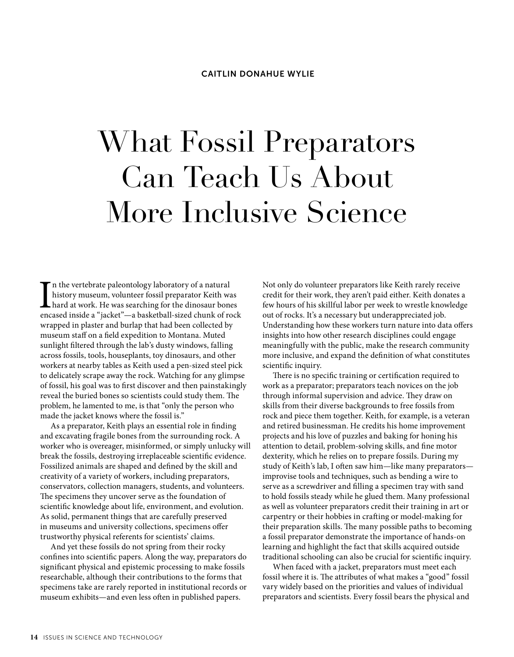## What Fossil Preparators Can Teach Us About More Inclusive Science

I<sub>enc</sub> n the vertebrate paleontology laboratory of a natural history museum, volunteer fossil preparator Keith was hard at work. He was searching for the dinosaur bones encased inside a "jacket"—a basketball-sized chunk of rock wrapped in plaster and burlap that had been collected by museum staff on a field expedition to Montana. Muted sunlight filtered through the lab's dusty windows, falling across fossils, tools, houseplants, toy dinosaurs, and other workers at nearby tables as Keith used a pen-sized steel pick to delicately scrape away the rock. Watching for any glimpse of fossil, his goal was to first discover and then painstakingly reveal the buried bones so scientists could study them. The problem, he lamented to me, is that "only the person who made the jacket knows where the fossil is."

As a preparator, Keith plays an essential role in finding and excavating fragile bones from the surrounding rock. A worker who is overeager, misinformed, or simply unlucky will break the fossils, destroying irreplaceable scientific evidence. Fossilized animals are shaped and defined by the skill and creativity of a variety of workers, including preparators, conservators, collection managers, students, and volunteers. The specimens they uncover serve as the foundation of scientific knowledge about life, environment, and evolution. As solid, permanent things that are carefully preserved in museums and university collections, specimens offer trustworthy physical referents for scientists' claims.

And yet these fossils do not spring from their rocky confines into scientific papers. Along the way, preparators do significant physical and epistemic processing to make fossils researchable, although their contributions to the forms that specimens take are rarely reported in institutional records or museum exhibits—and even less often in published papers.

Not only do volunteer preparators like Keith rarely receive credit for their work, they aren't paid either. Keith donates a few hours of his skillful labor per week to wrestle knowledge out of rocks. It's a necessary but underappreciated job. Understanding how these workers turn nature into data offers insights into how other research disciplines could engage meaningfully with the public, make the research community more inclusive, and expand the definition of what constitutes scientific inquiry.

There is no specific training or certification required to work as a preparator; preparators teach novices on the job through informal supervision and advice. They draw on skills from their diverse backgrounds to free fossils from rock and piece them together. Keith, for example, is a veteran and retired businessman. He credits his home improvement projects and his love of puzzles and baking for honing his attention to detail, problem-solving skills, and fine motor dexterity, which he relies on to prepare fossils. During my study of Keith's lab, I often saw him—like many preparators improvise tools and techniques, such as bending a wire to serve as a screwdriver and filling a specimen tray with sand to hold fossils steady while he glued them. Many professional as well as volunteer preparators credit their training in art or carpentry or their hobbies in crafting or model-making for their preparation skills. The many possible paths to becoming a fossil preparator demonstrate the importance of hands-on learning and highlight the fact that skills acquired outside traditional schooling can also be crucial for scientific inquiry.

When faced with a jacket, preparators must meet each fossil where it is. The attributes of what makes a "good" fossil vary widely based on the priorities and values of individual preparators and scientists. Every fossil bears the physical and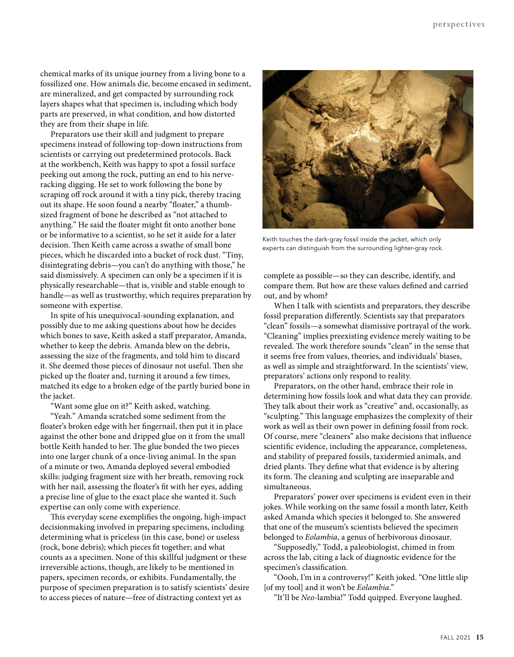chemical marks of its unique journey from a living bone to a fossilized one. How animals die, become encased in sediment, are mineralized, and get compacted by surrounding rock layers shapes what that specimen is, including which body parts are preserved, in what condition, and how distorted they are from their shape in life.

Preparators use their skill and judgment to prepare specimens instead of following top-down instructions from scientists or carrying out predetermined protocols. Back at the workbench, Keith was happy to spot a fossil surface peeking out among the rock, putting an end to his nerveracking digging. He set to work following the bone by scraping off rock around it with a tiny pick, thereby tracing out its shape. He soon found a nearby "floater," a thumbsized fragment of bone he described as "not attached to anything." He said the floater might fit onto another bone or be informative to a scientist, so he set it aside for a later decision. Then Keith came across a swathe of small bone pieces, which he discarded into a bucket of rock dust. "Tiny, disintegrating debris—you can't do anything with those," he said dismissively. A specimen can only be a specimen if it is physically researchable—that is, visible and stable enough to handle—as well as trustworthy, which requires preparation by someone with expertise.

In spite of his unequivocal-sounding explanation, and possibly due to me asking questions about how he decides which bones to save, Keith asked a staff preparator, Amanda, whether to keep the debris. Amanda blew on the debris, assessing the size of the fragments, and told him to discard it. She deemed those pieces of dinosaur not useful. Then she picked up the floater and, turning it around a few times, matched its edge to a broken edge of the partly buried bone in the jacket.

"Want some glue on it?" Keith asked, watching.

"Yeah." Amanda scratched some sediment from the floater's broken edge with her fingernail, then put it in place against the other bone and dripped glue on it from the small bottle Keith handed to her. The glue bonded the two pieces into one larger chunk of a once-living animal. In the span of a minute or two, Amanda deployed several embodied skills: judging fragment size with her breath, removing rock with her nail, assessing the floater's fit with her eyes, adding a precise line of glue to the exact place she wanted it. Such expertise can only come with experience.

This everyday scene exemplifies the ongoing, high-impact decisionmaking involved in preparing specimens, including determining what is priceless (in this case, bone) or useless (rock, bone debris); which pieces fit together; and what counts as a specimen. None of this skillful judgment or these irreversible actions, though, are likely to be mentioned in papers, specimen records, or exhibits. Fundamentally, the purpose of specimen preparation is to satisfy scientists' desire to access pieces of nature—free of distracting context yet as



Keith touches the dark-gray fossil inside the jacket, which only experts can distinguish from the surrounding lighter-gray rock.

complete as possible—so they can describe, identify, and compare them. But how are these values defined and carried out, and by whom?

When I talk with scientists and preparators, they describe fossil preparation differently. Scientists say that preparators "clean" fossils—a somewhat dismissive portrayal of the work. "Cleaning" implies preexisting evidence merely waiting to be revealed. The work therefore sounds "clean" in the sense that it seems free from values, theories, and individuals' biases, as well as simple and straightforward. In the scientists' view, preparators' actions only respond to reality.

Preparators, on the other hand, embrace their role in determining how fossils look and what data they can provide. They talk about their work as "creative" and, occasionally, as "sculpting." This language emphasizes the complexity of their work as well as their own power in defining fossil from rock. Of course, mere "cleaners" also make decisions that influence scientific evidence, including the appearance, completeness, and stability of prepared fossils, taxidermied animals, and dried plants. They define what that evidence is by altering its form. The cleaning and sculpting are inseparable and simultaneous.

Preparators' power over specimens is evident even in their jokes. While working on the same fossil a month later, Keith asked Amanda which species it belonged to. She answered that one of the museum's scientists believed the specimen belonged to *Eolambia*, a genus of herbivorous dinosaur.

"Supposedly," Todd, a paleobiologist, chimed in from across the lab, citing a lack of diagnostic evidence for the specimen's classification.

"Oooh, I'm in a controversy!" Keith joked. "One little slip [of my tool] and it won't be *Eolambia*."

"It'll be *Neo*-lambia!" Todd quipped. Everyone laughed.